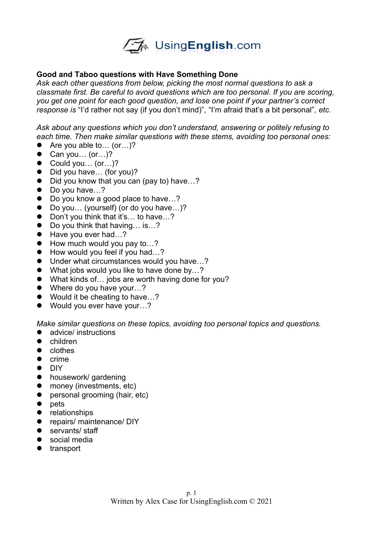

## **Good and Taboo questions with Have Something Done**

*Ask each other questions from below, picking the most normal questions to ask a classmate first. Be careful to avoid questions which are too personal. If you are scoring, you get one point for each good question, and lose one point if your partner's correct response is* "I'd rather not say (if you don't mind)"*,* "I'm afraid that's a bit personal"*, etc.*

*Ask about any questions which you don't understand, answering or politely refusing to each time. Then make similar questions with these stems, avoiding too personal ones:*

- Are you able to... (or...)?
- $\bullet$  Can you... (or...)?
- Could you... (or...)?
- Did you have... (for you)?
- Did you know that you can (pay to) have...?
- Do you have...?
- Do you know a good place to have...?
- Do you… (yourself) (or do you have...)?<br>● Don't you think that it's... to have...?
- Don't you think that it's… to have…?
- Do you think that having... is...?
- Have you ever had...?
- How much would you pay to...?
- How would you feel if you had...?
- Under what circumstances would you have...?
- What jobs would you like to have done by...?
- What kinds of... jobs are worth having done for you?
- Where do you have your...?
- Would it be cheating to have...?
- Would you ever have your...?

*Make similar questions on these topics, avoiding too personal topics and questions.* 

- advice/ instructions
- children
- clothes
- $\bullet$  crime
- DIY
- housework/ gardening
- money (investments, etc)
- **•** personal grooming (hair, etc)
- $\bullet$  pets
- **•** relationships
- **•** repairs/ maintenance/ DIY
- servants/ staff
- social media
- **•** transport